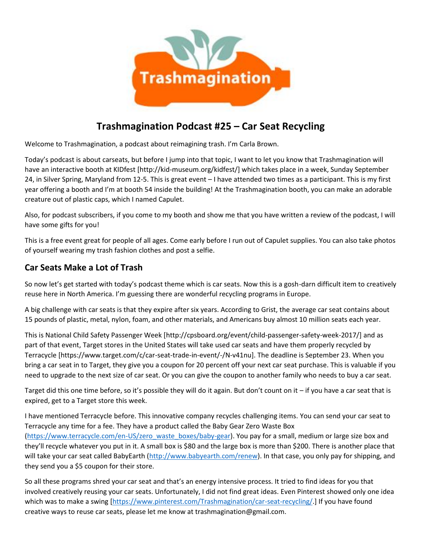

# **Trashmagination Podcast #25 – Car Seat Recycling**

Welcome to Trashmagination, a podcast about reimagining trash. I'm Carla Brown.

Today's podcast is about carseats, but before I jump into that topic, I want to let you know that Trashmagination will have an interactive booth at KIDfest [http://kid-museum.org/kidfest/] which takes place in a week, Sunday September 24, in Silver Spring, Maryland from 12-5. This is great event – I have attended two times as a participant. This is my first year offering a booth and I'm at booth 54 inside the building! At the Trashmagination booth, you can make an adorable creature out of plastic caps, which I named Capulet.

Also, for podcast subscribers, if you come to my booth and show me that you have written a review of the podcast, I will have some gifts for you!

This is a free event great for people of all ages. Come early before I run out of Capulet supplies. You can also take photos of yourself wearing my trash fashion clothes and post a selfie.

#### **Car Seats Make a Lot of Trash**

So now let's get started with today's podcast theme which is car seats. Now this is a gosh-darn difficult item to creatively reuse here in North America. I'm guessing there are wonderful recycling programs in Europe.

A big challenge with car seats is that they expire after six years. According to Grist, the average car seat contains about 15 pounds of plastic, metal, nylon, foam, and other materials, and Americans buy almost 10 million seats each year.

This is National Child Safety Passenger Week [http://cpsboard.org/event/child-passenger-safety-week-2017/] and as part of that event, Target stores in the United States will take used car seats and have them properly recycled by Terracycle [https://www.target.com/c/car-seat-trade-in-event/-/N-v41nu]. The deadline is September 23. When you bring a car seat in to Target, they give you a coupon for 20 percent off your next car seat purchase. This is valuable if you need to upgrade to the next size of car seat. Or you can give the coupon to another family who needs to buy a car seat.

Target did this one time before, so it's possible they will do it again. But don't count on it  $-$  if you have a car seat that is expired, get to a Target store this week.

I have mentioned Terracycle before. This innovative company recycles challenging items. You can send your car seat to Terracycle any time for a fee. They have a product called the Baby Gear Zero Waste Box (https://www.terracycle.com/en-US/zero\_waste\_boxes/baby-gear). You pay for a small, medium or large size box and they'll recycle whatever you put in it. A small box is \$80 and the large box is more than \$200. There is another place that will take your car seat called BabyEarth (http://www.babyearth.com/renew). In that case, you only pay for shipping, and they send you a \$5 coupon for their store.

So all these programs shred your car seat and that's an energy intensive process. It tried to find ideas for you that involved creatively reusing your car seats. Unfortunately, I did not find great ideas. Even Pinterest showed only one idea which was to make a swing [https://www.pinterest.com/Trashmagination/car-seat-recycling/.] If you have found creative ways to reuse car seats, please let me know at trashmagination@gmail.com.